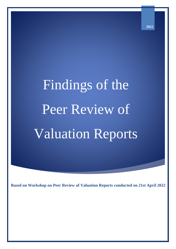# Findings of the Peer Review of Valuation Reports

**2022**

**Based on Workshop on Peer Review of Valuation Reports conducted on 21st April 2022**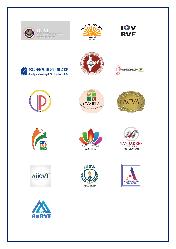































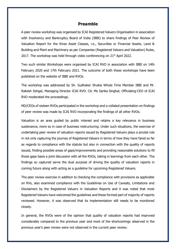# **Preamble**

A peer review workshop was organised by ICAI Registered Valuers Organisation in association with Insolvency and Bankruptcy Board of India (IBBI) to share findings of Peer Review of Valuation Report for the three Asset Classes, i.e., Securities or Financial Assets, Land & Building and Plant and Machinery as per Companies (Registered Valuers and Valuation) Rules, 2017. The workshop was held through video conferencing on  $21<sup>st</sup>$  April 2022.

Two such similar Workshops were organised by ICAI RVO in association with IBBI on 14th February 2020 and 17th February 2021. The outcome of both these workshops have been published on the website of IBBI and RVOs.

The workshop was addressed by Sh. Sudhaker Shukla Whole Time Member IBBI and Mr. Rakesh Sehgal, Managing Director ICAI RVO. CA. Ms Sarika Singhal, Officiating-CEO of ICAI RVO moderated the proceedings.

MD/CEOs of sixteen RVOs participated in the workshop and a collated presentation on findings of peer review was made by ICAI RVO incorporating the findings of all other RVOs.

Valuation is an area guided by public interest and retains a key relevance in business sustenance, more so in case of business restructuring. Under such situations, the exercise of undertaking peer review of valuation reports issued by Registered Valuers plays a pivotal role in not only capturing the journey of Registered Valuers in terms of how they have fared so far as regards to compliance with the statute but also in connection with the quality of reports issued, finding possible areas of gaps/improvements and providing reasonable solutions to fill those gaps basis a joint discussion with all the RVOs, taking in learnings from each other. The findings so captured serve the dual purpose of driving the quality of valuation reports in coming future along with acting as a guideline for upcoming Registered Valuers.

The peer review exercise in addition to checking the compliance with provisions as applicable on RVs, also examined compliance with the Guidelines on Use of Caveats, Limitations and Disclaimers by the Registered Valuers in Valuation Reports and it was noted that most Registered Valuers have welcomed the guidelines and these formed part of majority of reports reviewed. However, it was observed that its implementation still needs to be monitored closely.

In general, the RVOs were of the opinion that quality of valuation reports had improved considerably compared to the previous year and most of the shortcomings observed in the previous year's peer review were not observed in the current peer review.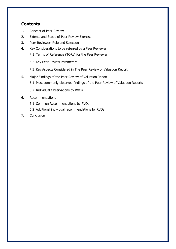# **Contents**

- 1. Concept of Peer Review
- 2. Extents and Scope of Peer Review Exercise
- 3. Peer Reviewer- Role and Selection
- 4. Key Considerations to be referred by a Peer Reviewer
	- 4.1 Terms of Reference (TORs) for the Peer Reviewer
	- 4.2 Key Peer Review Parameters
	- 4.3 Key Aspects Considered in The Peer Review of Valuation Report
- 5. Major Findings of the Peer Review of Valuation Report
	- 5.1 Most commonly observed findings of the Peer Review of Valuation Reports
	- 5.2 Individual Observations by RVOs
- 6. Recommendations
	- 6.1 Common Recommendations by RVOs
	- 6.2 Additional individual recommendations by RVOs
- 7. Conclusion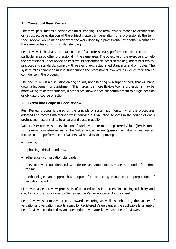### **1. Concept of Peer Review**

The term 'peer' means a person of similar standing. The term 'review' means re-examination or retrospective evaluation of the subject matter. In generality, for a professional, the term "peer review" would mean review of the work done by a professional, by another member of the same profession with similar standing.

Peer review is basically an examination of a professional's performance or practices in a particular area by other professional in the same area. The objective of the exercise is to help the professional under review to improve its performance, decision making, adopt best ethical practices and standards, comply with relevant laws, established standards and principles. The system relies heavily on mutual trust among the professional involved, as well as their shared confidence in the process.

The peer review is a discussion among equals, not a hearing by a superior body that will hand down a judgement or punishment. This makes it a more flexible tool, a professional may be more willing to accept criticism, if both sides know it does not commit them to a rigid position or obligatory course of action.

# **2. Extent and Scope of Peer Review**

Peer Review process is based on the principle of systematic monitoring of the procedures adopted and records maintained while carrying out valuation services in the course of one's professional responsibility to ensure and sustain quality.

Valuers Peer review is the evaluation of work by one or more Registered Valuer (RV) Member with similar competences as of the Valuer under review (**peers**). A Valuer's peer review focuses on the performance of Valuers, with a view to improving

- quality,
- upholding ethical standards,
- adherence with valuation standards,
- relevant laws, regulations, rules, guidelines and amendments made there under from time to time,
- methodologies and approaches adopted for conducting valuation and preparation of valuation report.

Moreover, a peer review process is often used to assist a client in building reliability and credibility of the work done by the respective Valuer appointed by the client.

Peer Review is primarily directed towards ensuring as well as enhancing the quality of valuation and valuation reports issued by Registered Valuers under the applicable legal ambit. Peer Review is conducted by an independent evaluator known as a Peer Reviewer.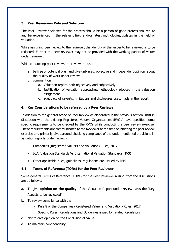# **3. Peer Reviewer- Role and Selection**

The Peer Reviewer selected for the process should be a person of good professional repute and be experienced in the relevant field and/or latest mythologies/updates in the field of valuation.

While assigning peer review to the reviewer, the identity of the valuer to be reviewed is to be redacted. Further the peer reviewer may not be provided with the working papers of valuer under reviewer.

While conducting peer review, the reviewer must:

- a. be free of potential bias, and give unbiased, objective and independent opinion about the quality of work under review
- b. comment on
	- a. Valuation report, both objectively and subjectively
	- b. Justification of valuation approaches/methodology adopted in the valuation assignment
	- c. adequacy of caveats, limitations and disclosures used/made in the report

# **4. Key Considerations to be referred by a Peer Reviewer**

In addition to the general scope of Peer Review as elaborated in the previous section, IBBI in discussion with the existing Registered Valuers Organisations (RVOs) have specified some specific requirements to be checked by the RVOs while conducting a peer review exercise. These requirements are communicated to the Reviewer at the time of initiating the peer review exercise and primarily pivot around checking compliance of the undermentioned provisions in valuation reports under review:-

- Companies (Registered Valuers and Valuation) Rules, 2017
- ICAI Valuation Standards Vs International Valuation Standards (IVS)
- Other applicable rules, guidelines, regulations etc. issued by IBBI

# **4.1 Terms of Reference (TORs) for the Peer Reviewer**

Some general Terms of Reference (TORs) for the Peer Reviewer arising from the discussions are as follows:

- a. To give **opinion on the quality** of the Valuation Report under review basis the "Key Aspects to be reviewed"
- b. To review compliance with the
	- i) Rule 8 of the Companies (Registered Valuer and Valuation) Rules, 2017
	- ii) Specific Rules, Regulations and Guidelines issued by related Regulators
- c. Not to give opinion on the Conclusion of Value
- d. To maintain confidentiality;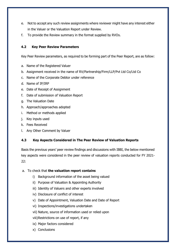- e. Not to accept any such review assignments where reviewer might have any interest either in the Valuer or the Valuation Report under Review.
- f. To provide the Review summary in the format supplied by RVOs.

# **4.2 Key Peer Review Parameters**

Key Peer Review parameters, as required to be forming part of the Peer Report, are as follow:

- a. Name of the Registered Valuer
- b. Assignment received in the name of RV/Partnership/Firm/LLP/Pvt Ltd Co/Ltd Co
- c. Name of the Corporate Debtor under reference
- d. Name of IP/IRP
- e. Date of Receipt of Assignment
- f. Date of submission of Valuation Report
- g. The Valuation Date
- h. Approach/approaches adopted
- i. Method or methods applied
- j. Key inputs used
- k. Fees Received
- l. Any Other Comment by Valuer

# **4.3 Key Aspects Considered in The Peer Review of Valuation Reports**

Basis the previous years' peer review findings and discussions with IBBI, the below mentioned key aspects were considered in the peer review of valuation reports conducted for FY 2021-  $22:$ 

### a. To check that **the valuation report contains**

- i) Background information of the asset being valued
- ii) Purpose of Valuation & Appointing Authority
- iii) Identity of Valuers and other experts involved
- iv) Disclosure of conflict of interest
- v) Date of Appointment, Valuation Date and Date of Report
- vi) Inspections/investigations undertaken
- vii) Nature, source of information used or relied upon
- viii)Restrictions on use of report, if any
- ix) Major factors considered
- x) Conclusions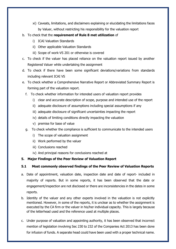- xi) Caveats, limitations, and disclaimers explaining or elucidating the limitations faces by Valuer, without restricting his responsibility for the valuation report
- b. To check that the **requirement of Rule 8 met utilization** of
	- i) ICAI Valuation Standards
	- ii) Other applicable Valuation Standards
	- iii) Scope of work-VS 201 or otherwise is covered
- c. To check if the valuer has placed reliance on the valuation report issued by another Registered Valuer while undertaking the assignment
- d. To check if there have been some significant deviations/variations from standards including relevant ICAI VS
- e. To check whether a Comprehensive Narrative Report or Abbreviated Summary Report is forming part of the valuation report.
	- f. To check whether information for intended users of valuation report provides
		- i) clear and accurate description of scope, purpose and intended use of the report
		- ii) adequate disclosure of assumptions including special assumptions if any
		- iii) adequate disclosure of significant uncertainties impacting the report
		- iv) details of limiting conditions directly impacting the valuation
		- v) premise for base of value
	- g. To check whether the compliance is sufficient to communicate to the intended users
		- i) The scope of valuation assignment
		- ii) Work performed by the valuer
		- iii) Conclusions reached
		- iv) And principal reasons for conclusions reached at

# **5. Major Findings of the Peer Review of Valuation Report**

# **5.1 Most commonly observed findings of the Peer Review of Valuation Reports**

- a. Date of appointment, valuation date, inspection date and date of report- included in majority of reports. But in some reports, it has been observed that the date or engagement/inspection are not disclosed or there are inconsistencies in the dates in some reports.
- b. Identity of the valuer and any other experts involved in the valuation is not explicitly mentioned. However, in some of the reports, it is unclear as to whether the assignment is executed by the CA firm or the valuer in his/her individual capacity. This is largely because of the letterhead used and the reference used at multiple places.
- c. Under purpose of valuation and appointing authority, it has been observed that incorrect mention of legislation involving Sec 230 to 232 of the Companies Act 2013 has been done for infusion of funds. A separate head could have been used with a proper technical name.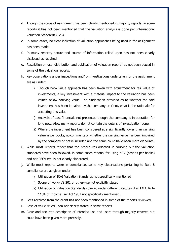- d. Though the scope of assignment has been clearly mentioned in majority reports, in some reports it has not been mentioned that the valuation analysis is done per International Valuation Standards (IVS).
- e. In some cases, no clear indication of valuation approaches being used in the assignment has been made.
- f. In many reports, nature and source of information relied upon has not been clearly disclosed as required.
- g. Restriction on use, distribution and publication of valuation report has not been placed in some of the valuation reports.
- h. Key observations under inspections and/ or investigations undertaken for the assignment are as under:
	- i) Though book value approach has been taken with adjustment for fair value of investments, a key investment with a material impact to the valuation has been valued below carrying value - no clarification provided as to whether the said investment has been impaired by the company or if not, what is the rationale for accepting this value.
	- ii) Analysis of past financials not presented though the company is in operation for long now. Also, many reports do not contain the details of investigation done.
	- iii) Where the investment has been considered at a significantly lower than carrying value as per books, no comments on whether the carrying value has been impaired by the company or not is included and the same could have been more elaborate.
- i. While most reports reflect that the procedures adopted in carrying out the valuation standards have been followed, in some cases rational for using NAV (cost as per books) and not PECV etc. is not clearly elaborated.
- j. While most reports were in compliance, some key observations pertaining to Rule 8 compliance are as given under:
	- i) Utilization of ICAI Valuation Standards not specifically mentioned
	- ii) Scope of work- VS 201 or otherwise not explicitly stated
	- iii) Utilization of Valuation Standards covered under different statutes like FEMA, Rule 11UA of Income Tax Act 1961 not specifically mentioned.
- k. Fees received from the client has not been mentioned in some of the reports reviewed.
- l. Base of value relied upon not clearly stated in some reports.
- m. Clear and accurate description of intended use and users through majorly covered but could have been given more precisely.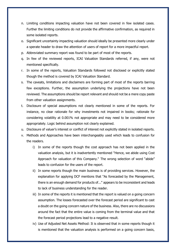- n. Limiting conditions impacting valuation have not been covered in few isolated cases. Further the limiting conditions do not provide the affirmative confirmation, as required in some isolated reports.
- o. Significant uncertainty impacting valuation should ideally be presented more clearly under a sperate header to draw the attention of users of report for a more impactful report.
- p. Abbreviated summary report was found to be part of most of the reports.
- q. In few of the reviewed reports, ICAI Valuation Standards referred, if any, were not mentioned specifically.
- r. In some of the reports, Valuation Standards followed not disclosed or explicitly stated though the method is covered by ICAI Valuation Standard.
- s. The caveats, limitations and disclaimers are forming part of most of the reports barring few exceptions. Further, the assumption underlying the projections have not been reviewed. The assumptions should be report relevant and should not be a mere copy paste from other valuation assignments.
- t. Disclosure of special assumptions not clearly mentioned in some of the reports. For instance, no clear rationale for why investments not impaired in books; rationale for considering volatility at 0.001% not appropriate and may need to be considered more appropriately. Logic behind assumption not clearly explained.
- u. Disclosure of valuer's interest or conflict of interest not explicitly stated in isolated reports.
- v. Methods and Approaches have been interchangeably used which leads to confusion for the readers.
	- i) In some of the reports though the cost approach has not been applied in the valuation analysis, but it is inadvertently mentioned "Hence, we abide using Cost Approach for valuation of this Company." The wrong selection of word "abide" leads to confusion for the users of the report.
	- ii) In some reports though the main business is of providing services. However, the explanation for applying DCF mentions that "As forecasted by the Management, there is an enough demand for products of..." appears to be inconsistent and leads to lack of business understanding for the reader.
	- iii) In some of the reports it is mentioned that the report is valued on a going concern assumption. The losses forecasted over the forecast period are significant to cast a doubt on the going concern nature of the business. Also, there are no discussions around the fact that the entire value is coming from the terminal value and that the forecast period projections lead to a negative result.
	- iv) Use of Adjusted Net Assets Method: It is observed that in some reports though it is mentioned that the valuation analysis is performed on a going concern basis,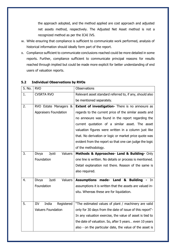the approach adopted, and the method applied are cost approach and adjusted net assets method, respectively. The Adjusted Net Asset method is not a recognized method as per the ICAI IVS.

- w. While ensuring that compliance is sufficient to communicate work performed, analysis of historical information should ideally form part of the report.
- x. Compliance sufficient to communicate conclusions reached could be more detailed in some reports. Further, compliance sufficient to communicate principal reasons for results reached through implied but could be made more explicit for better understanding of end users of valuation reports.

| S. No.         | <b>RVO</b>                              | <b>Observations</b>                                      |
|----------------|-----------------------------------------|----------------------------------------------------------|
| $\mathbf{1}$ . | <b>CVSRTA RVO</b>                       | Relevant asset standard referred to, if any, should also |
|                |                                         | be mentioned separately.                                 |
| 2.             | RVO Estate Managers &                   | <b>Extent of investigation-</b> There is no annexure as  |
|                | <b>Appraisers Foundation</b>            | regards to the current price of the similar assets and   |
|                |                                         | no annexure was found in the report regarding the        |
|                |                                         | current quotation of a similar asset. The asset          |
|                |                                         | valuation figures were written in a column just like     |
|                |                                         | that. No derivation or logic or market price quote was   |
|                |                                         | evident from the report so that one can judge the logic  |
|                |                                         | of the methodology.                                      |
| 3.             | Jyoti<br><b>Valuers</b><br>Divya        | Methods & Approaches- Land & Building- Only              |
|                | Foundation                              | one line is written. No details or process is mentioned. |
|                |                                         | Detail explanation not there. Reason of the same is      |
|                |                                         | also required.                                           |
| 4.             | <b>Valuers</b><br>Divya<br><b>Jyoti</b> | <b>Assumptions made- Land &amp; Building</b><br>In.      |
|                | Foundation                              | assumptions it is written that the assets are valued in- |
|                |                                         | situ. Whereas these are for liquidation.                 |
|                |                                         |                                                          |
| 5.             | India<br>Registered<br>IIV              | "The estimated values of plant / machinery are valid     |
|                | <b>Valuers Foundation</b>               | only for 30 days from the date of issue of this report"- |
|                |                                         | In any valuation exercise, the value of asset is tied to |
|                |                                         | the date of valuation. So, after 5 years even 10 years   |
|                |                                         | also - on the particular date, the value of the asset is |

# **5.2 Individual Observations by RVOs**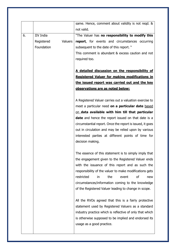|    |                  |         | same. Hence, comment about validity is not regd. &<br>not valid. |
|----|------------------|---------|------------------------------------------------------------------|
|    |                  |         |                                                                  |
| 6. | <b>IIV India</b> |         | "The Valuer has no responsibility to modify this                 |
|    | Registered       | Valuers | report, for events and circumstances occurring                   |
|    | Foundation       |         | subsequent to the date of this report."                          |
|    |                  |         | This comment is abundant & excess caution and not                |
|    |                  |         | required too.                                                    |
|    |                  |         | A detailed discussion on the responsibility of                   |
|    |                  |         | <b>Registered Valuer for making modifications in</b>             |
|    |                  |         | the issued report was carried out and the key                    |
|    |                  |         | observations are as noted below:                                 |
|    |                  |         | A Registered Valuer carries out a valuation exercise to          |
|    |                  |         | meet a particular need on a particular date based                |
|    |                  |         | on data available with him till that particular                  |
|    |                  |         | date and hence the report issued on that date is a               |
|    |                  |         | circumstantial report. Once the report is issued, it goes        |
|    |                  |         | out in circulation and may be relied upon by various             |
|    |                  |         | interested parties at different points of time for               |
|    |                  |         | decision making.                                                 |
|    |                  |         |                                                                  |
|    |                  |         | The essence of this statement is to simply imply that            |
|    |                  |         | the engagement given to the Registered Valuer ends               |
|    |                  |         | with the issuance of this report and as such the                 |
|    |                  |         | responsibility of the valuer to make modifications gets          |
|    |                  |         | restricted<br>the<br>οf<br>event<br>in<br>new                    |
|    |                  |         | circumstances/information coming to the knowledge                |
|    |                  |         | of the Registered Valuer leading to change in scope.             |
|    |                  |         |                                                                  |
|    |                  |         | All the RVOs agreed that this is a fairly protective             |
|    |                  |         | statement used by Registered Valuers as a standard               |
|    |                  |         | industry practice which is reflective of only that which         |
|    |                  |         | is otherwise supposed to be implied and endorsed its             |
|    |                  |         | usage as a good practice.                                        |
|    |                  |         |                                                                  |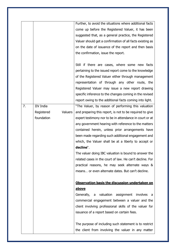|    |                       | Further, to avoid the situations where additional facts   |
|----|-----------------------|-----------------------------------------------------------|
|    |                       | come up before the Registered Valuer, it has been         |
|    |                       | suggested that, as a general practice, the Registered     |
|    |                       | Valuer should get a confirmation of all facts existing as |
|    |                       | on the date of issuance of the report and then basis      |
|    |                       | the confirmation, issue the report.                       |
|    |                       |                                                           |
|    |                       | Still if there are cases, where some new facts            |
|    |                       | pertaining to the issued report come to the knowledge     |
|    |                       | of the Registered Valuer either through management        |
|    |                       | representation of through any other route, the            |
|    |                       | Registered Valuer may issue a new report drawing          |
|    |                       | specific inference to the changes coming in the revised   |
|    |                       | report owing to the additional facts coming into light.   |
| 7. | <b>IIV</b> India      | "The Valuer, by reason of performing this valuation       |
|    | Valuers<br>Registered | and preparing this report, is not to be required to give  |
|    | foundation            | expert testimony nor to be in attendance in court or at   |
|    |                       | any government hearing with reference to the matters      |
|    |                       | contained herein, unless prior arrangements have          |
|    |                       | been made regarding such additional engagement and        |
|    |                       | which, the Valuer shall be at a liberty to accept or      |
|    |                       | decline".                                                 |
|    |                       | The valuer doing IBC valuation is bound to answer the     |
|    |                       | related cases in the court of law. He can't decline. For  |
|    |                       | practical reasons, he may seek alternate ways &           |
|    |                       | means or even alternate dates. But can't decline.         |
|    |                       |                                                           |
|    |                       | Observation basis the discussion undertaken on            |
|    |                       | <u>above</u>                                              |
|    |                       | Generally, a valuation assignment involves a              |
|    |                       | commercial engagement between a valuer and the            |
|    |                       | client involving professional skills of the valuer for    |
|    |                       | issuance of a report based on certain fees.               |
|    |                       |                                                           |
|    |                       | The purpose of including such statement is to restrict    |
|    |                       | the client from involving the valuer in any matter        |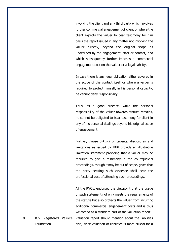|    |                                            | involving the client and any third party which involves<br>further commercial engagement of client or where the<br>client expects the valuer to bear testimony for him<br>basis the report issued in any matter not involving the<br>valuer directly, beyond the original scope as<br>underlined by the engagement letter or contact, and<br>which subsequently further imposes a commercial<br>engagement cost on the valuer or a legal liability.<br>In case there is any legal obligation either covered in<br>the scope of the contact itself or where a valuer is<br>required to protect himself, in his personal capacity,<br>he cannot deny responsibility. |
|----|--------------------------------------------|--------------------------------------------------------------------------------------------------------------------------------------------------------------------------------------------------------------------------------------------------------------------------------------------------------------------------------------------------------------------------------------------------------------------------------------------------------------------------------------------------------------------------------------------------------------------------------------------------------------------------------------------------------------------|
|    |                                            | Thus, as a good practice, while the personal<br>responsibility of the valuer towards statues remains,<br>he cannot be obligated to bear testimony for client in<br>any of his personal dealings beyond his original scope<br>of engagement.                                                                                                                                                                                                                                                                                                                                                                                                                        |
|    |                                            | Further, clause 3.4.xxii of caveats, disclosures and<br>limitations as issued by IBBI provide an illustrative<br>limitation statement providing that a valuer may be<br>required to give a testimony in the court/judicial<br>proceedings, though it may be out of scope, given that<br>the party seeking such evidence shall bear the<br>professional cost of attending such proceedings.                                                                                                                                                                                                                                                                         |
|    |                                            | All the RVOs, endorsed the viewpoint that the usage<br>of such statement not only meets the requirements of<br>the statute but also protects the valuer from incurring<br>additional commercial engagement costs and is thus<br>welcomed as a standard part of the valuation report.                                                                                                                                                                                                                                                                                                                                                                               |
| 8. | IOV<br>Registered<br>Valuers<br>Foundation | Valuation report should mention about the liabilities<br>also, since valuation of liabilities is more crucial for a                                                                                                                                                                                                                                                                                                                                                                                                                                                                                                                                                |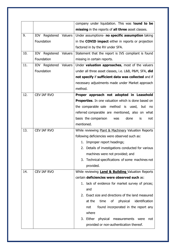|     |                           | company under liquidation. This was found to be              |
|-----|---------------------------|--------------------------------------------------------------|
|     |                           | missing in the reports of all three asset classes.           |
| 9.  | IOV Registered Valuers    | Under assumptions- no specific assumption taking             |
|     | Foundation                | in the <b>COVID impact</b> either in reports or projection   |
|     |                           | factored in by the RV under SFA.                             |
| 10. | IOV<br>Registered Valuers | Statement that the report is IVS compliant is found          |
|     | Foundation                | missing in certain reports.                                  |
| 11. | IOV Registered Valuers    | Under valuation approaches, most of the valuers              |
|     | Foundation                | under all three asset classes, i.e. L&B, P&M, SFA, did       |
|     |                           | not specify if sufficient data was collected and if          |
|     |                           | necessary adjustments made under Market approach             |
|     |                           | method.                                                      |
| 12. | <b>CEV IAF RVO</b>        | Proper approach not adopted in Leasehold                     |
|     |                           | <b>Properties.</b> In one valuation which is done based on   |
|     |                           | the comparable sale method is used, but no                   |
|     |                           | referred comparable are mentioned, also on what              |
|     |                           | basis the comparison<br>done<br>is<br>was<br>not             |
|     |                           | mentioned.                                                   |
| 13. | CEV IAF RVO               | While reviewing Plant & Machinery Valuation Reports          |
|     |                           | following deficiencies were observed such as:                |
|     |                           | 1. Improper report headings;                                 |
|     |                           | 2. Details of investigations conducted for various           |
|     |                           | machines were not provided; and                              |
|     |                           | Technical specifications of some machines not<br>3.          |
|     |                           | provided.                                                    |
| 14. | <b>CEV IAF RVO</b>        | While reviewing <b>Land &amp; Building</b> Valuation Reports |
|     |                           | certain deficiencies were observed such as:                  |
|     |                           | 1. lack of evidence for market survey of prices;             |
|     |                           | and                                                          |
|     |                           | 2. Exact size and directions of the land measured            |
|     |                           | at the<br>identification<br>time<br>οf<br>physical           |
|     |                           | found incorporated in the report any<br>not<br>where         |
|     |                           | 3. Either<br>physical<br>measurements<br>were<br>not         |
|     |                           | provided or non-authentication thereof.                      |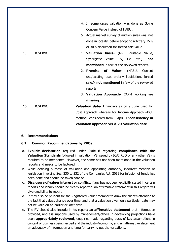|     |                 | In some cases valuation was done as Going<br>4.     |
|-----|-----------------|-----------------------------------------------------|
|     |                 | Concern Value instead of HABU.                      |
|     |                 | 5. Actual market survey of auction sales was not    |
|     |                 | done in locality, before adopting arbitrary 15%     |
|     |                 | or 30% deduction for forced sale value.             |
| 15. | <b>ICSI RVO</b> | 1. Valuation basis- (MV, Equitable Value,           |
|     |                 |                                                     |
|     |                 | Synergistic Value, LV, FV, etc.)- not               |
|     |                 | <b>mentioned</b> in few of the reviewed reports.    |
|     |                 | 2. Premise<br>of Value- (HABU, Current              |
|     |                 | use/existing use, orderly liquidation, forced       |
|     |                 | sale.)- <b>not mentioned</b> in few of the reviewed |
|     |                 | reports                                             |
|     |                 | 3. Valuation Approach- CAPM working are             |
|     |                 | missing.                                            |
|     |                 |                                                     |
| 16. | <b>ICSI RVO</b> | Valuation date- Financials as on 9 June used for    |
|     |                 | Cost Approach whereas for Income Approach -DCF      |
|     |                 | method considered from 1 April. Inconsistency in    |
|     |                 | Valuation approach vis-à-vis Valuation date         |

### **6. Recommendations**

### **6.1 Common Recommendations by RVOs**

- a. **Explicit declaration** required under **Rule 8** regarding **compliance with the Valuation Standards** followed in valuation (VS issued by ICAI RVO or any other VS) is required to be mentioned. However, the same has not been mentioned in the valuation reports and needs to be factored in.
- b. While defining purpose of Valuation and appointing authority, incorrect mention of legislation involving Sec. 230 to 232 of the Companies Act, 2013 for infusion of funds has been done and should be taken care of.
- c. **Disclosure of valuer interest or conflict**, if any has not been explicitly stated in certain reports and ideally should be clearly reported. an affirmative statement in this regard will give credibility to report.
- d. It may also be prudent for the Registered Valuer member to draw the client's attention to the fact that values change over time, and that a valuation given on a particular date may not be valid on an earlier or later date.
- e. The RV should also include in his report: an **affirmative statement** that information provided, and assumptions used by management/others in developing projections have been **appropriately reviewed**, enquiries made regarding basis of key assumptions in context of business being valued and the industry/economy; and an affirmative statement on adequacy of information and time for carrying out the valuations.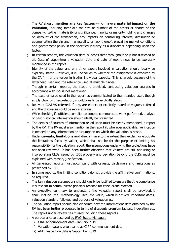- f. The RV should **mention any key factors** which have a **material impact on the valuation**, including inter alia the size or number of the assets or shares of the company, its/their materiality or significance, minority or majority holding and changes on account of the transaction, any impacts on controlling interest, diminution or augmentation therein and marketability or lack thereof; prevailing market conditions and government policy in the specified industry as a disclaimer depending upon the factor.
- g. In certain reports, the valuation date is inconsistent throughout or is not disclosed at all. Date of appointment, valuation date and date of report need to be expressly mentioned in the report.
- h. Identity of the valuer and any other expert involved in valuation should ideally be explicitly stated. However, it is unclear as to whether the assignment is executed by the CA firm or the valuer in his/her individual capacity. This is largely because of the letterhead used and the reference used at multiple places.
- i. Though in certain reports, the scope is provided, conducting valuation analysis in accordance with IVS is not mentioned.
- j. The base of value used in the report as communicated to the intended user, though amply clear by interpretation, should ideally be explicitly stated.
- k. Relevant ICAI VS referred, if any, are either not explicitly stated or vaguely referred and the disclosure could be more express.
- l. While checking if sufficient compliance done to communicate work performed, analysis of past historical information should ideally be presented.
- m. The details of sources of information relied upon must be clearly mentioned in report by the RV. The RV must also mention in the report if, wherever applicable, verification is needed on any information or assumption on which the valuation is based.
- n. Under **caveats, limitations and disclaimers** to the extent they explain or elucidate the limitations faces by valuer, which shall not be for the purpose of limiting his responsibility for the valuation report, the assumptions underlying the projections have not been reviewed. It has been further observed that Valuers are still not using or incorporating CLDs issued by IBBI properly any deviation beyond the CLDs must be explained with reason/ justification.
- o. All generated reports must accompany with caveats, disclaimers and limitations as prescribed by IBBI.
- p. In some reports, the limiting conditions do not provide the affirmative confirmations, as required.
- q. The key valuation assumptions should ideally be justified to ensure that the compliance is sufficient to communicate principal reasons for conclusions reached.
- r. An executive summary to understand the valuation report shall be provided, it shall include the methodology used, the value, which is arrived, important dates, valuation standard followed and purpose of valuation etc.
- s. The valuation report should also elaborate how the information/ data obtained by the RV has been further processed in terms of discount/ premium factors, indexation etc. The report under review has missed including these aspects
- t. A particular case observed by RVO Estate Managers:
	- i) CIRP announcement date- January 2019
	- ii) Valuation date is given same as CIRP commencement date
	- iii) AND, inspection date is September 2019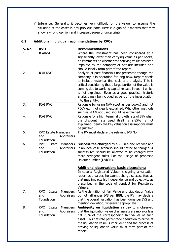iv) Inference: Generally, it becomes very difficult for the valuer to assume the situation of the asset in any previous date. Here is a gap of 9 months that may show a wrong opinion and increase degree of uncertainty.

| S. No. | <b>RVO</b>                                                          | <b>Recommendations</b>                                                                                                                                                                                                                                                                                                                                                                                                                                                        |
|--------|---------------------------------------------------------------------|-------------------------------------------------------------------------------------------------------------------------------------------------------------------------------------------------------------------------------------------------------------------------------------------------------------------------------------------------------------------------------------------------------------------------------------------------------------------------------|
| 1.     | <b>ICAIRVO</b>                                                      | Where the investment has been considered at a<br>significantly lower than carrying value as per books,<br>no comments on whether the carrying value has been<br>impaired by the company or not are included and<br>should ideally form part of the report.                                                                                                                                                                                                                    |
| 2.     | <b>ICAI RVO</b>                                                     | Analysis of past financials not presented though the<br>company is in operation for long now. Report needs<br>to include historical financials and analysis. This is<br>critical considering that a large portion of the value is<br>coming due to working capital release in year 1 which<br>is not explained. Even as a good practice, historic<br>analysis may be included as part of the investigation<br>into the entity.                                                |
| 3.     | <b>ICAI RVO</b>                                                     | Rationale for using NAV (cost as per books) and not<br>PECV etc., not clearly explained. Why other methods<br>such as PECV not used should be explained.                                                                                                                                                                                                                                                                                                                      |
| 4.     | <b>ICAI RVO</b>                                                     | Rationale for a high terminal growth rate of 8% when<br>the discount rate used itself is 9.85% is not<br>explained-Ideally the key valuation assumptions must<br>be justified.                                                                                                                                                                                                                                                                                                |
| 5.     | <b>RVO Estate Managers</b><br>and<br>Appraisers<br>Foundation       | The RV must declare the relevant IVS No.                                                                                                                                                                                                                                                                                                                                                                                                                                      |
| 6.     | <b>RVO</b><br>Managers<br>Estate<br>and<br>Appraisers<br>Foundation | <b>Success fee charged</b> by a RV in a one-off case and<br>in an ideal case scenario should not be so charged. A<br>success fee should be allowed to be charged with<br>more stringent rules like the usage of proposed<br>Unique number (UVRIN).<br><b>Additional observations basis discussions:</b><br>In case a Registered Valuer is signing a valuation<br>report as a valuer, he cannot charge success fees as<br>that may impacts his independence and objectivity as |
| 7.     | <b>RVO</b><br>Estate<br>Managers<br>Appraisers<br>and<br>Foundation | prescribed in the code of conduct for Registered<br>Valuers.<br>As the definition of Fair Value and Liquidation Value<br>do not fall under IVS per IBBI, the RV may declare<br>that the overall valuation has been done per IVS and<br>mention deviation, wherever appropriate.                                                                                                                                                                                               |
| 8.     | <b>RVO</b><br>Managers<br>Estate<br>and<br>Appraisers<br>Foundation | Ambiquity on liquidation value- It is observed<br>that the liquidation value of all assets are more or less<br>flat 70% of the corresponding fair values of each<br>asset. This flat rate percentage deduction to arrive at<br>the liquidation value is imprudent and the process of<br>arriving at liquidation value must form part of the<br>report.                                                                                                                        |

# **6.2 Additional individual recommendations by RVOs**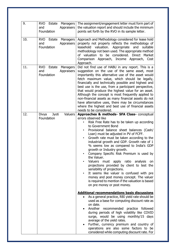| 9.  | <b>RVO</b><br>Estate<br>Managers<br><b>Appraisers</b><br>and<br>Foundation | The assignment/engagement letter must form part of<br>the valuation report and should include the minimum<br>points set forth by the RVO in its sample letter.                                                                                                                                                                                                                                                                                                                                                                                                                                                                                                                                                                                                                                                                                                                                                                                                                               |
|-----|----------------------------------------------------------------------------|----------------------------------------------------------------------------------------------------------------------------------------------------------------------------------------------------------------------------------------------------------------------------------------------------------------------------------------------------------------------------------------------------------------------------------------------------------------------------------------------------------------------------------------------------------------------------------------------------------------------------------------------------------------------------------------------------------------------------------------------------------------------------------------------------------------------------------------------------------------------------------------------------------------------------------------------------------------------------------------------|
| 10. | <b>RVO</b><br>Estate<br>Managers<br>and<br><b>Appraisers</b><br>Foundation | Approach and Methodology considered for lease hold<br>property not properly reflects the methodology of<br>leasehold valuation. Appropriate<br>and<br>suitable<br>methodology not been used. The appropriate method<br>of valuation to be considered. Direct Market<br>Comparison Approach, Income Approach,<br>Cost<br>Approach.                                                                                                                                                                                                                                                                                                                                                                                                                                                                                                                                                                                                                                                            |
| 11. | <b>RVO</b><br>Estate<br>Managers<br><b>Appraisers</b><br>and<br>Foundation | Did not find use of HABU in any report. This is a<br>suggestion on the use of the same asset, most<br>importantly this alternative use of the asset would<br>fetch maximum value, which should be legally,<br>financially and technically possible and highest and<br>best use is the use, from a participant perspective,<br>that would produce the highest value for an asset.<br>Although the concept is most frequently applied to<br>non-financial assets as many financial assets do not<br>have alternative uses, there may be circumstances<br>where the highest and best use of financial assets<br>needs to be considered.                                                                                                                                                                                                                                                                                                                                                         |
| 12. | Valuers<br>Divya<br><b>Jyoti</b><br>Foundation                             | Approaches & methods- SFA Class- conceptual<br>errors observed like<br>Risk Free Rate has to be taken up according<br>to Government Bond<br>Provisional balance sheet balances (Cash/<br>Loan) must be adjusted in PV of FCFF.<br>Growth rate must be taken according to the<br>٠<br>industrial growth and GDP. Growth rate of 1<br>% seems low as compared to India's GDP<br>growth or Industry growth.<br>Company Specific Risk Premium is used by<br>the Valuer.<br>Valuers must apply ratio analysis<br>on<br>projections provided by client to test the<br>sensibility of projections.<br>It seems like valuer is confused with pre<br>٠<br>money and post money concept. The valuer<br>is required to mention if the valuation is based<br>on pre money or post money.<br><b>Additional recommendations basis discussions</b><br>As a general practice, RBI yield rate should be<br>used as a base for computing discount rate as<br>on date.<br>Another recommended practice followed |
|     |                                                                            | during periods of high volatility like COVID<br>surge, would be using monthly/15 days<br>average of the yield rates.<br>Further, currency premium and country of<br>operations are also some factors to be<br>considered while computing discount rate. For                                                                                                                                                                                                                                                                                                                                                                                                                                                                                                                                                                                                                                                                                                                                  |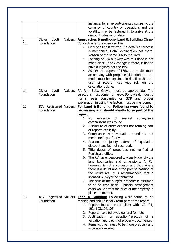|     |                                                | instance, for an export-oriented company, the<br>currency of country of operations and the<br>volatility may be factored in to arrive at the<br>discount rates as on date.                                                                                                                                                                                                                                                                                                                                                                                                                                                                                                                                                                                                                                                                                                                                                                           |
|-----|------------------------------------------------|------------------------------------------------------------------------------------------------------------------------------------------------------------------------------------------------------------------------------------------------------------------------------------------------------------------------------------------------------------------------------------------------------------------------------------------------------------------------------------------------------------------------------------------------------------------------------------------------------------------------------------------------------------------------------------------------------------------------------------------------------------------------------------------------------------------------------------------------------------------------------------------------------------------------------------------------------|
| 13. | Valuers<br>Divya<br>Jyoti<br>Foundation        | Approaches & methods- Land & Building Class-<br>Conceptual errors observed like<br>Only one line is written. No details or process<br>is mentioned. Detail explanation not there.<br>Reason of the same is also required.<br>Loading of 3% but why was this done is not<br>$\bullet$<br>made clear. If any change is there, it has to<br>have a logic as per the IVS.<br>As per the expert of L&B, the model must<br>accompany with proper explanation and the<br>model must be explained in detail so that the<br>user of report must keep rely on the<br>calculations done.                                                                                                                                                                                                                                                                                                                                                                        |
| 14. | Divya<br>Jyoti<br><b>Valuers</b><br>Foundation | Rf, Rm, Beta, Growth must be appropriate. The<br>selections must come from Govt Bond yield, industry<br>norms, peer companies or GDP and proper<br>explanation in using the factors must be mentioned.                                                                                                                                                                                                                                                                                                                                                                                                                                                                                                                                                                                                                                                                                                                                               |
| 15. | IOV Registered Valuers<br>Foundation           | For Land & Building: Following were found to<br>be missing and should ideally form part of the<br>report<br>evidence<br>1. No<br>of market<br>survey/sale<br>comparisons was found<br>2. Disclosure of other experts not forming part<br>of reports explicitly.<br>3. Compliance with valuation standards not<br>mentioned specifically<br>4. Reasons to justify extent of liquidation<br>discount applied not recorded.<br>5. Title deeds of properties not verified at<br>Registrar's office.<br>6. The RV has endeavored to visually identify the<br>land boundaries and dimensions. A RV,<br>however, is not a surveyor and thus where<br>there is a doubt about the precise position of<br>the structures, it is recommended that a<br>licensed Surveyor be contacted.<br>7. The sale of the subject property is assumed<br>to be on cash basis. Financial arrangement<br>costs would affect the price of the property, if<br>placed in market. |
| 16. | IOV Registered Valuers<br>Foundation           | <b>Land &amp; Building:</b> Following were found to be<br>missing and should ideally form part of the report<br>1. Reports found non-compliant with IVS 101,<br>102, 103, 104, 105<br>2. Reports have followed general formats<br>Justification<br>for adoption/rejection of a<br>3.<br>valuation approach not properly documented.<br>4. Remarks given need to be more precisely and<br>accurately worded.                                                                                                                                                                                                                                                                                                                                                                                                                                                                                                                                          |